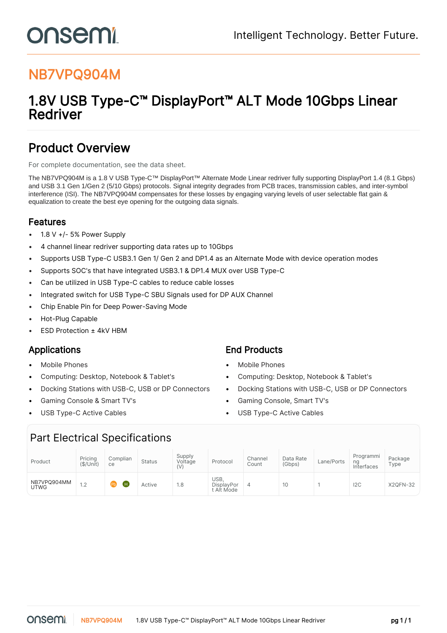# NB7VPQ904M

onsemi

## 1.8V USB Type-C™ DisplayPort™ ALT Mode 10Gbps Linear Redriver

## Product Overview

For complete documentation, see the [data sheet.](https://www.onsemi.com/PowerSolutions/product.do?id=NB7VPQ904M)

The NB7VPQ904M is a 1.8 V USB Type-C™ DisplayPort™ Alternate Mode Linear redriver fully supporting DisplayPort 1.4 (8.1 Gbps) and USB 3.1 Gen 1/Gen 2 (5/10 Gbps) protocols. Signal integrity degrades from PCB traces, transmission cables, and inter-symbol interference (ISI). The NB7VPQ904M compensates for these losses by engaging varying levels of user selectable flat gain & equalization to create the best eye opening for the outgoing data signals.

## Features

- 1.8 V +/- 5% Power Supply
- 4 channel linear redriver supporting data rates up to 10Gbps
- Supports USB Type-C USB3.1 Gen 1/ Gen 2 and DP1.4 as an Alternate Mode with device operation modes
- Supports SOC's that have integrated USB3.1 & DP1.4 MUX over USB Type-C
- Can be utilized in USB Type-C cables to reduce cable losses
- Integrated switch for USB Type-C SBU Signals used for DP AUX Channel
- Chip Enable Pin for Deep Power-Saving Mode
- Hot-Plug Capable
- ESD Protection ± 4kV HBM

- 
- 
- 
- 
- 

## Applications **End Products**

- Mobile Phones Mobile Phones
- Computing: Desktop, Notebook & Tablet's Computing: Desktop, Notebook & Tablet's
- Docking Stations with USB-C, USB or DP Connectors Docking Stations with USB-C, USB or DP Connectors
- Gaming Console & Smart TV's Gaming Console, Smart TV's
- USB Type-C Active Cables USB Type-C Active Cables

## Part Electrical Specifications

| Product                    | Pricing<br>(\$/Unit)             | Complian<br>ce | <b>Status</b> | Supply<br>Voltage<br>(V) | Protocol                               | Channel<br>Count | Data Rate<br>(Gbps) | Lane/Ports | Programmi<br>ng<br>Interfaces | Package<br>Type |
|----------------------------|----------------------------------|----------------|---------------|--------------------------|----------------------------------------|------------------|---------------------|------------|-------------------------------|-----------------|
| NB7VPQ904MM<br><b>UTWG</b> | 1 <sub>0</sub><br>$\cdot$ $\sim$ | ίн<br>Pb)      | Active        | 1.8                      | <b>JSB</b><br>DisplayPor<br>t Alt Mode | 4                | 10                  |            | 12C                           | <b>X2QFN-32</b> |